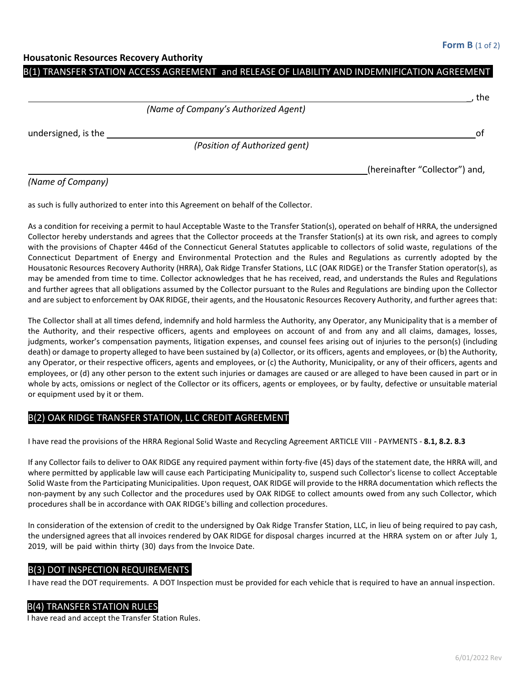$+$ ho

#### **Housatonic Resources Recovery Authority**

## B(1) TRANSFER STATION ACCESS AGREEMENT and RELEASE OF LIABILITY AND INDEMNIFICATION AGREEMENT

|                     |                                      | . נווכ                         |
|---------------------|--------------------------------------|--------------------------------|
|                     | (Name of Company's Authorized Agent) |                                |
| undersigned, is the |                                      | .nt                            |
|                     | (Position of Authorized gent)        |                                |
|                     |                                      | (hereinafter "Collector") and, |

### *(Name of Company)*

as such is fully authorized to enter into this Agreement on behalf of the Collector.

As a condition for receiving a permit to haul Acceptable Waste to the Transfer Station(s), operated on behalf of HRRA, the undersigned Collector hereby understands and agrees that the Collector proceeds at the Transfer Station(s) at its own risk, and agrees to comply with the provisions of Chapter 446d of the Connecticut General Statutes applicable to collectors of solid waste, regulations of the Connecticut Department of Energy and Environmental Protection and the Rules and Regulations as currently adopted by the Housatonic Resources Recovery Authority (HRRA), Oak Ridge Transfer Stations, LLC (OAK RIDGE) or the Transfer Station operator(s), as may be amended from time to time. Collector acknowledges that he has received, read, and understands the Rules and Regulations and further agrees that all obligations assumed by the Collector pursuant to the Rules and Regulations are binding upon the Collector and are subject to enforcement by OAK RIDGE, their agents, and the Housatonic Resources Recovery Authority, and further agrees that:

The Collector shall at all times defend, indemnify and hold harmless the Authority, any Operator, any Municipality that is a member of the Authority, and their respective officers, agents and employees on account of and from any and all claims, damages, losses, judgments, worker's compensation payments, litigation expenses, and counsel fees arising out of injuries to the person(s) (including death) or damage to property alleged to have been sustained by (a) Collector, or its officers, agents and employees, or (b) the Authority, any Operator, or their respective officers, agents and employees, or (c) the Authority, Municipality, or any of their officers, agents and employees, or (d) any other person to the extent such injuries or damages are caused or are alleged to have been caused in part or in whole by acts, omissions or neglect of the Collector or its officers, agents or employees, or by faulty, defective or unsuitable material or equipment used by it or them.

## B(2) OAK RIDGE TRANSFER STATION, LLC CREDIT AGREEMENT

I have read the provisions of the HRRA Regional Solid Waste and Recycling Agreement ARTICLE VIII - PAYMENTS - **8.1, 8.2. 8.3**

If any Collector fails to deliver to OAK RIDGE any required payment within forty-five (45) days of the statement date, the HRRA will, and where permitted by applicable law will cause each Participating Municipality to, suspend such Collector's license to collect Acceptable Solid Waste from the Participating Municipalities. Upon request, OAK RIDGE will provide to the HRRA documentation which reflects the non-payment by any such Collector and the procedures used by OAK RIDGE to collect amounts owed from any such Collector, which procedures shall be in accordance with OAK RIDGE's billing and collection procedures.

In consideration of the extension of credit to the undersigned by Oak Ridge Transfer Station, LLC, in lieu of being required to pay cash, the undersigned agrees that all invoices rendered by OAK RIDGE for disposal charges incurred at the HRRA system on or after July 1, 2019, will be paid within thirty (30) days from the Invoice Date.

# B(3) DOT INSPECTION REQUIREMENTS

I have read the DOT requirements. A DOT Inspection must be provided for each vehicle that is required to have an annual inspection.

### B(4) TRANSFER STATION RULES

I have read and accept the Transfer Station Rules.